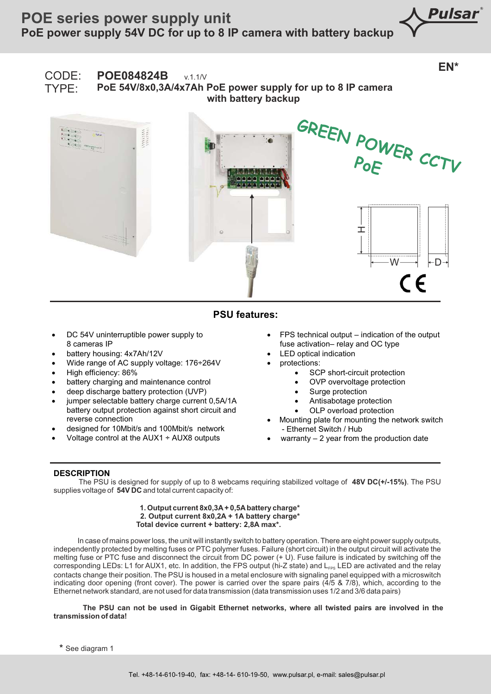Pulsar

## **EN\*** CODE: **POE084824B** v.1.1/V TYPE: **PoE 54V/8x0,3A/4x7Ah PoE power supply for up to 8 IP camera with battery backup GREEN POWER CCTV PoE**  $\top$  $W \longrightarrow \vdash D$  $\epsilon$

## **PSU features:**

- DC 54V uninterruptible power supply to 8 cameras IP
- battery housing: 4x7Ah/12V
- Wide range of AC supply voltage: 176÷264V
- · High efficiency: 86%
- battery charging and maintenance control
- deep discharge battery protection (UVP)
- jumper selectable battery charge current 0,5A/1A battery output protection against short circuit and reverse connection
- · designed for 10Mbit/s and 100Mbit/s network
- · Voltage control at the AUX1 ÷ AUX8 outputs
- $FPS$  technical output indication of the output fuse activation– relay and OC type
- LED optical indication
- protections:
	- SCP short-circuit protection
	- OVP overvoltage protection
	- Surge protection
	- Antisabotage protection
	- OLP overload protection
- Mounting plate for mounting the network switch - Ethernet Switch / Hub
- warranty  $-2$  year from the production date

## **DESCRIPTION**

 The PSU is designed for supply of up to 8 webcams requiring stabilized voltage of **48V DC(+/-15%)**. The PSU supplies voltage of **54V DC** and total current capacity of:

> **1. Output current 8x0,3A + 0,5A battery charge\* 2. Output current 8x0,2A + 1A battery charge\* Total device current + battery: 2,8A max\*.**

In case of mains power loss, the unit will instantly switch to battery operation. There are eight power supply outputs, independently protected by melting fuses or PTC polymer fuses. Failure (short circuit) in the output circuit will activate the melting fuse or PTC fuse and disconnect the circuit from DC power (+ U). Fuse failure is indicated by switching off the corresponding LEDs: L1 for AUX1, etc. In addition, the FPS output (hi-Z state) and  $L_{\text{FS}}$  LED are activated and the relay contacts change their position. The PSU is housed in a metal enclosure with signaling panel equipped with a microswitch indicating door opening (front cover). The power is carried over the spare pairs (4/5 & 7/8), which, according to the Ethernet network standard, are not used for data transmission (data transmission uses 1/2 and 3/6 data pairs)

**The PSU can not be used in Gigabit Ethernet networks, where all twisted pairs are involved in the transmission of data!** 

**\*** See diagram 1